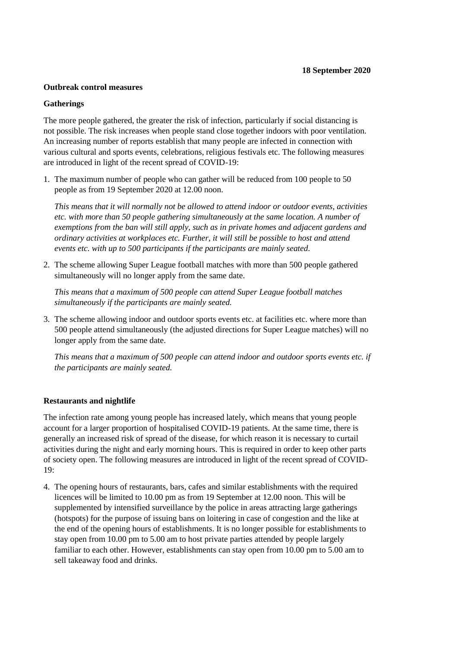### **Outbreak control measures**

#### **Gatherings**

The more people gathered, the greater the risk of infection, particularly if social distancing is not possible. The risk increases when people stand close together indoors with poor ventilation. An increasing number of reports establish that many people are infected in connection with various cultural and sports events, celebrations, religious festivals etc. The following measures are introduced in light of the recent spread of COVID-19:

1. The maximum number of people who can gather will be reduced from 100 people to 50 people as from 19 September 2020 at 12.00 noon.

*This means that it will normally not be allowed to attend indoor or outdoor events, activities etc. with more than 50 people gathering simultaneously at the same location. A number of exemptions from the ban will still apply, such as in private homes and adjacent gardens and ordinary activities at workplaces etc. Further, it will still be possible to host and attend events etc. with up to 500 participants if the participants are mainly seated.* 

2. The scheme allowing Super League football matches with more than 500 people gathered simultaneously will no longer apply from the same date.

*This means that a maximum of 500 people can attend Super League football matches simultaneously if the participants are mainly seated.*

3. The scheme allowing indoor and outdoor sports events etc. at facilities etc. where more than 500 people attend simultaneously (the adjusted directions for Super League matches) will no longer apply from the same date.

*This means that a maximum of 500 people can attend indoor and outdoor sports events etc. if the participants are mainly seated.*

#### **Restaurants and nightlife**

The infection rate among young people has increased lately, which means that young people account for a larger proportion of hospitalised COVID-19 patients. At the same time, there is generally an increased risk of spread of the disease, for which reason it is necessary to curtail activities during the night and early morning hours. This is required in order to keep other parts of society open. The following measures are introduced in light of the recent spread of COVID-19:

4. The opening hours of restaurants, bars, cafes and similar establishments with the required licences will be limited to 10.00 pm as from 19 September at 12.00 noon. This will be supplemented by intensified surveillance by the police in areas attracting large gatherings (hotspots) for the purpose of issuing bans on loitering in case of congestion and the like at the end of the opening hours of establishments. It is no longer possible for establishments to stay open from 10.00 pm to 5.00 am to host private parties attended by people largely familiar to each other. However, establishments can stay open from 10.00 pm to 5.00 am to sell takeaway food and drinks.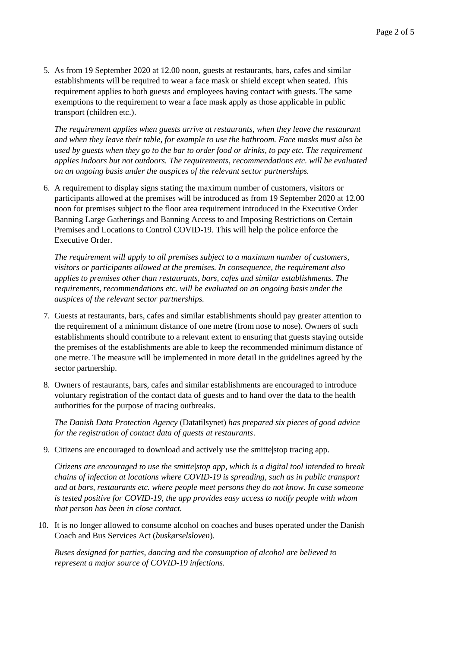5. As from 19 September 2020 at 12.00 noon, guests at restaurants, bars, cafes and similar establishments will be required to wear a face mask or shield except when seated. This requirement applies to both guests and employees having contact with guests. The same exemptions to the requirement to wear a face mask apply as those applicable in public transport (children etc.).

*The requirement applies when guests arrive at restaurants, when they leave the restaurant and when they leave their table, for example to use the bathroom. Face masks must also be used by guests when they go to the bar to order food or drinks, to pay etc. The requirement applies indoors but not outdoors. The requirements, recommendations etc. will be evaluated on an ongoing basis under the auspices of the relevant sector partnerships.*

6. A requirement to display signs stating the maximum number of customers, visitors or participants allowed at the premises will be introduced as from 19 September 2020 at 12.00 noon for premises subject to the floor area requirement introduced in the Executive Order Banning Large Gatherings and Banning Access to and Imposing Restrictions on Certain Premises and Locations to Control COVID-19. This will help the police enforce the Executive Order.

*The requirement will apply to all premises subject to a maximum number of customers, visitors or participants allowed at the premises. In consequence, the requirement also applies to premises other than restaurants, bars, cafes and similar establishments. The requirements, recommendations etc. will be evaluated on an ongoing basis under the auspices of the relevant sector partnerships.*

- 7. Guests at restaurants, bars, cafes and similar establishments should pay greater attention to the requirement of a minimum distance of one metre (from nose to nose). Owners of such establishments should contribute to a relevant extent to ensuring that guests staying outside the premises of the establishments are able to keep the recommended minimum distance of one metre. The measure will be implemented in more detail in the guidelines agreed by the sector partnership.
- 8. Owners of restaurants, bars, cafes and similar establishments are encouraged to introduce voluntary registration of the contact data of guests and to hand over the data to the health authorities for the purpose of tracing outbreaks.

*The Danish Data Protection Agency* (Datatilsynet) *has prepared six pieces of good advice for the registration of contact data of guests at restaurants*.

9. Citizens are encouraged to download and actively use the smitte|stop tracing app.

*Citizens are encouraged to use the smitte|stop app, which is a digital tool intended to break chains of infection at locations where COVID-19 is spreading, such as in public transport and at bars, restaurants etc. where people meet persons they do not know. In case someone is tested positive for COVID-19, the app provides easy access to notify people with whom that person has been in close contact.*

10. It is no longer allowed to consume alcohol on coaches and buses operated under the Danish Coach and Bus Services Act (*buskørselsloven*).

*Buses designed for parties, dancing and the consumption of alcohol are believed to represent a major source of COVID-19 infections.*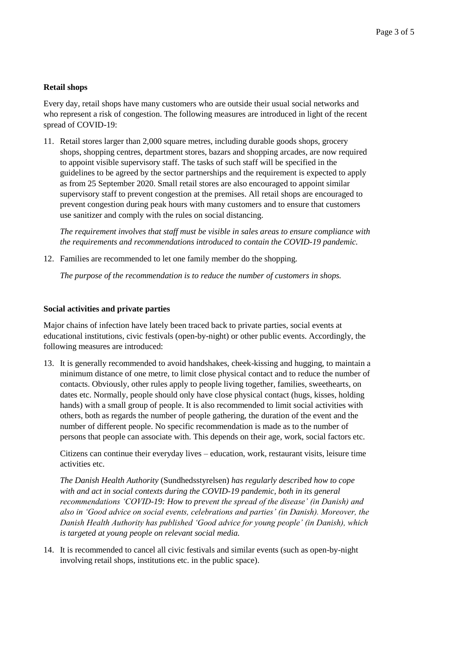# **Retail shops**

Every day, retail shops have many customers who are outside their usual social networks and who represent a risk of congestion. The following measures are introduced in light of the recent spread of COVID-19:

11. Retail stores larger than 2,000 square metres, including durable goods shops, grocery shops, shopping centres, department stores, bazars and shopping arcades, are now required to appoint visible supervisory staff. The tasks of such staff will be specified in the guidelines to be agreed by the sector partnerships and the requirement is expected to apply as from 25 September 2020. Small retail stores are also encouraged to appoint similar supervisory staff to prevent congestion at the premises. All retail shops are encouraged to prevent congestion during peak hours with many customers and to ensure that customers use sanitizer and comply with the rules on social distancing.

*The requirement involves that staff must be visible in sales areas to ensure compliance with the requirements and recommendations introduced to contain the COVID-19 pandemic.*

12. Families are recommended to let one family member do the shopping.

*The purpose of the recommendation is to reduce the number of customers in shops.*

## **Social activities and private parties**

Major chains of infection have lately been traced back to private parties, social events at educational institutions, civic festivals (open-by-night) or other public events. Accordingly, the following measures are introduced:

13. It is generally recommended to avoid handshakes, cheek-kissing and hugging, to maintain a minimum distance of one metre, to limit close physical contact and to reduce the number of contacts. Obviously, other rules apply to people living together, families, sweethearts, on dates etc. Normally, people should only have close physical contact (hugs, kisses, holding hands) with a small group of people. It is also recommended to limit social activities with others, both as regards the number of people gathering, the duration of the event and the number of different people. No specific recommendation is made as to the number of persons that people can associate with. This depends on their age, work, social factors etc.

Citizens can continue their everyday lives – education, work, restaurant visits, leisure time activities etc.

*The Danish Health Authority* (Sundhedsstyrelsen) *has regularly described how to cope with and act in social contexts during the COVID-19 pandemic, both in its general recommendations 'COVID-19: How to prevent the spread of the disease' (in Danish) and also in 'Good advice on social events, celebrations and parties' (in Danish). Moreover, the Danish Health Authority has published 'Good advice for young people' (in Danish), which is targeted at young people on relevant social media.*

14. It is recommended to cancel all civic festivals and similar events (such as open-by-night involving retail shops, institutions etc. in the public space).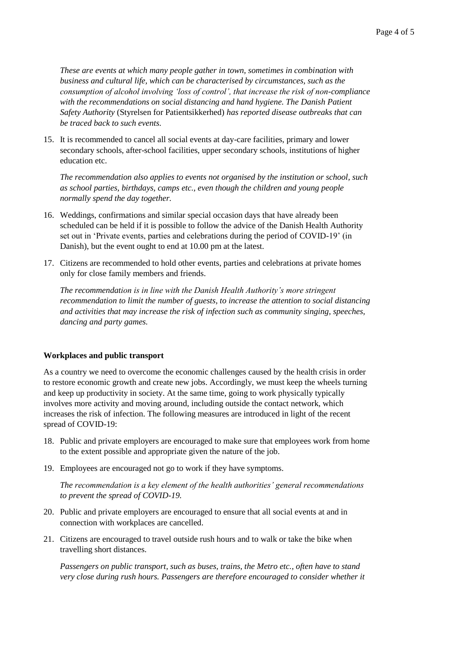*These are events at which many people gather in town, sometimes in combination with business and cultural life, which can be characterised by circumstances, such as the consumption of alcohol involving 'loss of control', that increase the risk of non-compliance with the recommendations on social distancing and hand hygiene. The Danish Patient Safety Authority* (Styrelsen for Patientsikkerhed) *has reported disease outbreaks that can be traced back to such events.*

15. It is recommended to cancel all social events at day-care facilities, primary and lower secondary schools, after-school facilities, upper secondary schools, institutions of higher education etc.

*The recommendation also applies to events not organised by the institution or school, such as school parties, birthdays, camps etc., even though the children and young people normally spend the day together.*

- 16. Weddings, confirmations and similar special occasion days that have already been scheduled can be held if it is possible to follow the advice of the Danish Health Authority set out in 'Private events, parties and celebrations during the period of COVID-19' (in Danish), but the event ought to end at 10.00 pm at the latest.
- 17. Citizens are recommended to hold other events, parties and celebrations at private homes only for close family members and friends.

*The recommendation is in line with the Danish Health Authority's more stringent recommendation to limit the number of guests, to increase the attention to social distancing and activities that may increase the risk of infection such as community singing, speeches, dancing and party games.*

## **Workplaces and public transport**

As a country we need to overcome the economic challenges caused by the health crisis in order to restore economic growth and create new jobs. Accordingly, we must keep the wheels turning and keep up productivity in society. At the same time, going to work physically typically involves more activity and moving around, including outside the contact network, which increases the risk of infection. The following measures are introduced in light of the recent spread of COVID-19:

- 18. Public and private employers are encouraged to make sure that employees work from home to the extent possible and appropriate given the nature of the job.
- 19. Employees are encouraged not go to work if they have symptoms.

*The recommendation is a key element of the health authorities' general recommendations to prevent the spread of COVID-19.*

- 20. Public and private employers are encouraged to ensure that all social events at and in connection with workplaces are cancelled.
- 21. Citizens are encouraged to travel outside rush hours and to walk or take the bike when travelling short distances.

*Passengers on public transport, such as buses, trains, the Metro etc., often have to stand very close during rush hours. Passengers are therefore encouraged to consider whether it*